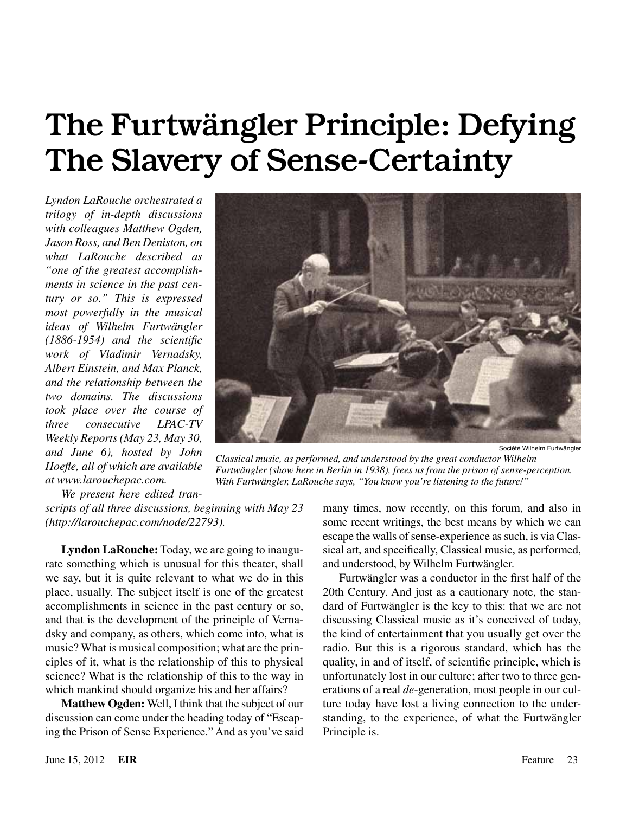# The Furtwängler Principle: Defying The Slavery of Sense-Certainty

*Lyndon LaRouche orchestrated a trilogy of in-depth discussions with colleagues Matthew Ogden, Jason Ross, and Ben Deniston, on what LaRouche described as "one of the greatest accomplishments in science in the past century or so." This is expressed most powerfully in the musical ideas of Wilhelm Furtwängler (1886-1954) and the scientific work of Vladimir Vernadsky, Albert Einstein, and Max Planck, and the relationship between the two domains. The discussions took place over the course of three consecutive LPAC-TV Weekly Reports (May 23, May 30, and June 6), hosted by John Hoefle, all of which are available at www.larouchepac.com.*



Société Wilhelm Furtwängler

*Classical music, as performed, and understood by the great conductor Wilhelm Furtwängler (show here in Berlin in 1938), frees us from the prison of sense-perception. With Furtwängler, LaRouche says, "You know you're listening to the future!"*

*We present here edited transcripts of all three discussions, beginning with May 23 (http://larouchepac.com/node/22793).*

**Lyndon LaRouche:** Today, we are going to inaugurate something which is unusual for this theater, shall we say, but it is quite relevant to what we do in this place, usually. The subject itself is one of the greatest accomplishments in science in the past century or so, and that is the development of the principle of Vernadsky and company, as others, which come into, what is music? What is musical composition; what are the principles of it, what is the relationship of this to physical science? What is the relationship of this to the way in which mankind should organize his and her affairs?

**Matthew Ogden:** Well, I think that the subject of our discussion can come under the heading today of "Escaping the Prison of Sense Experience." And as you've said

many times, now recently, on this forum, and also in some recent writings, the best means by which we can escape the walls of sense-experience as such, is via Classical art, and specifically, Classical music, as performed, and understood, by Wilhelm Furtwängler.

Furtwängler was a conductor in the first half of the 20th Century. And just as a cautionary note, the standard of Furtwängler is the key to this: that we are not discussing Classical music as it's conceived of today, the kind of entertainment that you usually get over the radio. But this is a rigorous standard, which has the quality, in and of itself, of scientific principle, which is unfortunately lost in our culture; after two to three generations of a real *de*-generation, most people in our culture today have lost a living connection to the understanding, to the experience, of what the Furtwängler Principle is.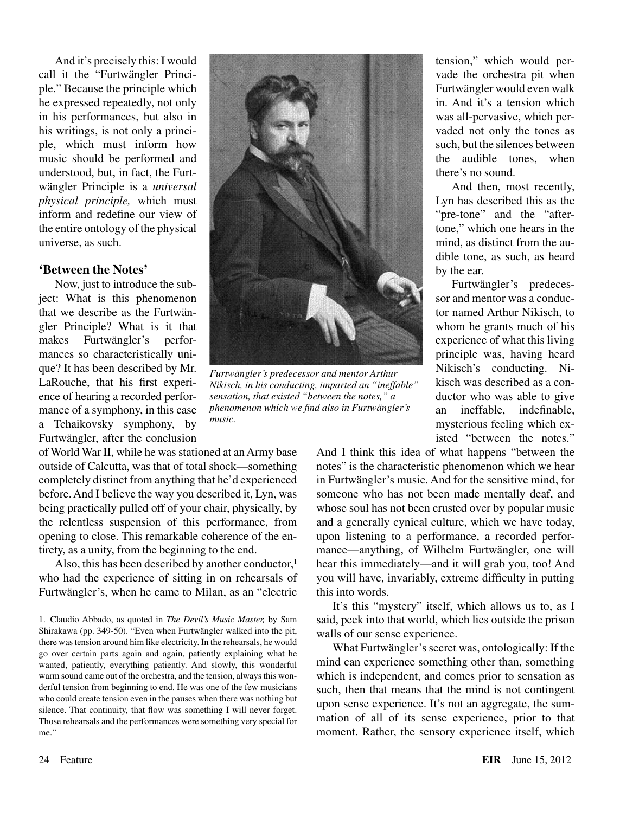And it's precisely this: I would call it the "Furtwängler Principle." Because the principle which he expressed repeatedly, not only in his performances, but also in his writings, is not only a principle, which must inform how music should be performed and understood, but, in fact, the Furtwängler Principle is a *universal physical principle,* which must inform and redefine our view of the entire ontology of the physical universe, as such.

#### **'Between the Notes'**

Now, just to introduce the subject: What is this phenomenon that we describe as the Furtwängler Principle? What is it that makes Furtwängler's performances so characteristically unique? It has been described by Mr. LaRouche, that his first experience of hearing a recorded performance of a symphony, in this case a Tchaikovsky symphony, by Furtwängler, after the conclusion

of World War II, while he was stationed at an Army base outside of Calcutta, was that of total shock—something completely distinct from anything that he'd experienced before. And I believe the way you described it, Lyn, was being practically pulled off of your chair, physically, by the relentless suspension of this performance, from opening to close. This remarkable coherence of the entirety, as a unity, from the beginning to the end.

Also, this has been described by another conductor, $<sup>1</sup>$ </sup> who had the experience of sitting in on rehearsals of Furtwängler's, when he came to Milan, as an "electric



*Furtwängler's predecessor and mentor Arthur Nikisch, in his conducting, imparted an "ineffable" sensation, that existed "between the notes," a phenomenon which we find also in Furtwängler's music.*

tension," which would pervade the orchestra pit when Furtwängler would even walk in. And it's a tension which was all-pervasive, which pervaded not only the tones as such, but the silences between the audible tones when there's no sound.

And then, most recently, Lyn has described this as the "pre-tone" and the "aftertone," which one hears in the mind, as distinct from the audible tone, as such, as heard by the ear.

Furtwängler's predecessor and mentor was a conductor named Arthur Nikisch, to whom he grants much of his experience of what this living principle was, having heard Nikisch's conducting. Nikisch was described as a conductor who was able to give an ineffable, indefinable, mysterious feeling which existed "between the notes."

And I think this idea of what happens "between the notes" is the characteristic phenomenon which we hear in Furtwängler's music. And for the sensitive mind, for someone who has not been made mentally deaf, and whose soul has not been crusted over by popular music and a generally cynical culture, which we have today, upon listening to a performance, a recorded performance—anything, of Wilhelm Furtwängler, one will hear this immediately—and it will grab you, too! And you will have, invariably, extreme difficulty in putting this into words.

It's this "mystery" itself, which allows us to, as I said, peek into that world, which lies outside the prison walls of our sense experience.

What Furtwängler's secret was, ontologically: If the mind can experience something other than, something which is independent, and comes prior to sensation as such, then that means that the mind is not contingent upon sense experience. It's not an aggregate, the summation of all of its sense experience, prior to that moment. Rather, the sensory experience itself, which

<sup>1.</sup> Claudio Abbado, as quoted in *The Devil's Music Master,* by Sam Shirakawa (pp. 349-50). "Even when Furtwängler walked into the pit, there was tension around him like electricity. In the rehearsals, he would go over certain parts again and again, patiently explaining what he wanted, patiently, everything patiently. And slowly, this wonderful warm sound came out of the orchestra, and the tension, always this wonderful tension from beginning to end. He was one of the few musicians who could create tension even in the pauses when there was nothing but silence. That continuity, that flow was something I will never forget. Those rehearsals and the performances were something very special for me."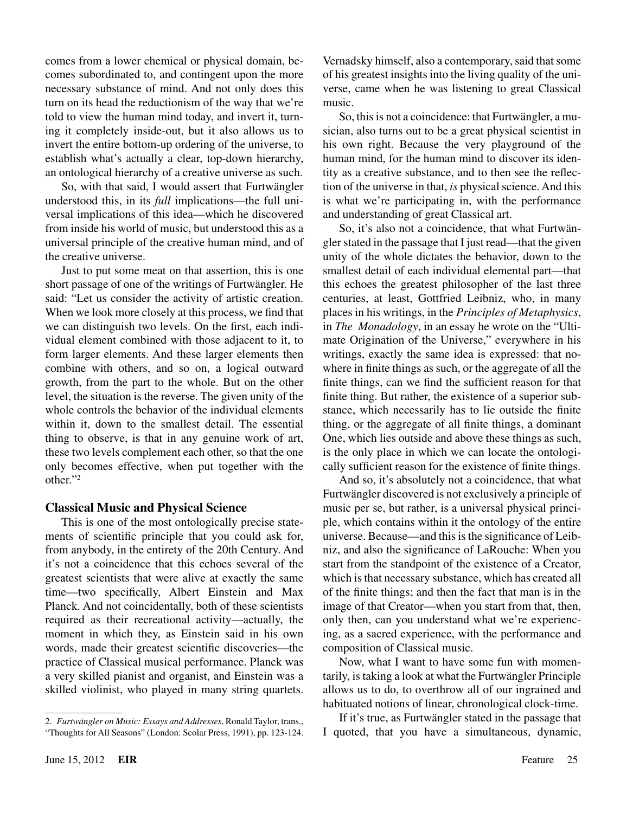comes from a lower chemical or physical domain, becomes subordinated to, and contingent upon the more necessary substance of mind. And not only does this turn on its head the reductionism of the way that we're told to view the human mind today, and invert it, turning it completely inside-out, but it also allows us to invert the entire bottom-up ordering of the universe, to establish what's actually a clear, top-down hierarchy, an ontological hierarchy of a creative universe as such.

So, with that said, I would assert that Furtwängler understood this, in its *full* implications—the full universal implications of this idea—which he discovered from inside his world of music, but understood this as a universal principle of the creative human mind, and of the creative universe.

Just to put some meat on that assertion, this is one short passage of one of the writings of Furtwängler. He said: "Let us consider the activity of artistic creation. When we look more closely at this process, we find that we can distinguish two levels. On the first, each individual element combined with those adjacent to it, to form larger elements. And these larger elements then combine with others, and so on, a logical outward growth, from the part to the whole. But on the other level, the situation is the reverse. The given unity of the whole controls the behavior of the individual elements within it, down to the smallest detail. The essential thing to observe, is that in any genuine work of art, these two levels complement each other, so that the one only becomes effective, when put together with the other."2

## **Classical Music and Physical Science**

This is one of the most ontologically precise statements of scientific principle that you could ask for, from anybody, in the entirety of the 20th Century. And it's not a coincidence that this echoes several of the greatest scientists that were alive at exactly the same time—two specifically, Albert Einstein and Max Planck. And not coincidentally, both of these scientists required as their recreational activity—actually, the moment in which they, as Einstein said in his own words, made their greatest scientific discoveries—the practice of Classical musical performance. Planck was a very skilled pianist and organist, and Einstein was a skilled violinist, who played in many string quartets.

Vernadsky himself, also a contemporary, said that some of his greatest insights into the living quality of the universe, came when he was listening to great Classical music.

So, this is not a coincidence: that Furtwängler, a musician, also turns out to be a great physical scientist in his own right. Because the very playground of the human mind, for the human mind to discover its identity as a creative substance, and to then see the reflection of the universe in that, *is* physical science. And this is what we're participating in, with the performance and understanding of great Classical art.

So, it's also not a coincidence, that what Furtwängler stated in the passage that I just read—that the given unity of the whole dictates the behavior, down to the smallest detail of each individual elemental part—that this echoes the greatest philosopher of the last three centuries, at least, Gottfried Leibniz, who, in many places in his writings, in the *Principles of Metaphysics*, in *The Monadology*, in an essay he wrote on the "Ultimate Origination of the Universe," everywhere in his writings, exactly the same idea is expressed: that nowhere in finite things as such, or the aggregate of all the finite things, can we find the sufficient reason for that finite thing. But rather, the existence of a superior substance, which necessarily has to lie outside the finite thing, or the aggregate of all finite things, a dominant One, which lies outside and above these things as such, is the only place in which we can locate the ontologically sufficient reason for the existence of finite things.

And so, it's absolutely not a coincidence, that what Furtwängler discovered is not exclusively a principle of music per se, but rather, is a universal physical principle, which contains within it the ontology of the entire universe. Because—and this is the significance of Leibniz, and also the significance of LaRouche: When you start from the standpoint of the existence of a Creator, which is that necessary substance, which has created all of the finite things; and then the fact that man is in the image of that Creator—when you start from that, then, only then, can you understand what we're experiencing, as a sacred experience, with the performance and composition of Classical music.

Now, what I want to have some fun with momentarily, is taking a look at what the Furtwängler Principle allows us to do, to overthrow all of our ingrained and habituated notions of linear, chronological clock-time.

If it's true, as Furtwängler stated in the passage that I quoted, that you have a simultaneous, dynamic,

<sup>2.</sup> *Furtwängler on Music: Essays and Addresses*, Ronald Taylor, trans., "Thoughts for All Seasons" (London: Scolar Press, 1991), pp. 123-124.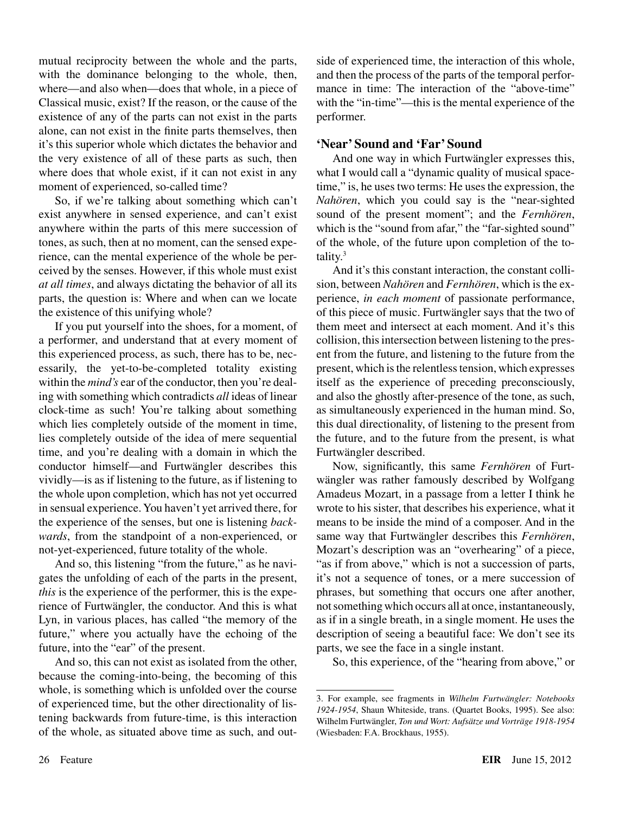mutual reciprocity between the whole and the parts, with the dominance belonging to the whole, then, where—and also when—does that whole, in a piece of Classical music, exist? If the reason, or the cause of the existence of any of the parts can not exist in the parts alone, can not exist in the finite parts themselves, then it's this superior whole which dictates the behavior and the very existence of all of these parts as such, then where does that whole exist, if it can not exist in any moment of experienced, so-called time?

So, if we're talking about something which can't exist anywhere in sensed experience, and can't exist anywhere within the parts of this mere succession of tones, as such, then at no moment, can the sensed experience, can the mental experience of the whole be perceived by the senses. However, if this whole must exist *at all times*, and always dictating the behavior of all its parts, the question is: Where and when can we locate the existence of this unifying whole?

If you put yourself into the shoes, for a moment, of a performer, and understand that at every moment of this experienced process, as such, there has to be, necessarily, the yet-to-be-completed totality existing within the *mind's* ear of the conductor, then you're dealing with something which contradicts *all* ideas of linear clock-time as such! You're talking about something which lies completely outside of the moment in time, lies completely outside of the idea of mere sequential time, and you're dealing with a domain in which the conductor himself—and Furtwängler describes this vividly—is as if listening to the future, as if listening to the whole upon completion, which has not yet occurred in sensual experience. You haven't yet arrived there, for the experience of the senses, but one is listening *backwards*, from the standpoint of a non-experienced, or not-yet-experienced, future totality of the whole.

And so, this listening "from the future," as he navigates the unfolding of each of the parts in the present, *this* is the experience of the performer, this is the experience of Furtwängler, the conductor. And this is what Lyn, in various places, has called "the memory of the future," where you actually have the echoing of the future, into the "ear" of the present.

And so, this can not exist as isolated from the other, because the coming-into-being, the becoming of this whole, is something which is unfolded over the course of experienced time, but the other directionality of listening backwards from future-time, is this interaction of the whole, as situated above time as such, and outside of experienced time, the interaction of this whole, and then the process of the parts of the temporal performance in time: The interaction of the "above-time" with the "in-time"—this is the mental experience of the performer.

## **'Near' Sound and 'Far' Sound**

And one way in which Furtwängler expresses this, what I would call a "dynamic quality of musical spacetime," is, he uses two terms: He uses the expression, the *Nahören*, which you could say is the "near-sighted sound of the present moment"; and the *Fernhören*, which is the "sound from afar," the "far-sighted sound" of the whole, of the future upon completion of the totality.3

And it's this constant interaction, the constant collision, between *Nahören* and *Fernhören*, which is the experience, *in each moment* of passionate performance, of this piece of music. Furtwängler says that the two of them meet and intersect at each moment. And it's this collision, this intersection between listening to the present from the future, and listening to the future from the present, which is the relentless tension, which expresses itself as the experience of preceding preconsciously, and also the ghostly after-presence of the tone, as such, as simultaneously experienced in the human mind. So, this dual directionality, of listening to the present from the future, and to the future from the present, is what Furtwängler described.

Now, significantly, this same *Fernhören* of Furtwängler was rather famously described by Wolfgang Amadeus Mozart, in a passage from a letter I think he wrote to his sister, that describes his experience, what it means to be inside the mind of a composer. And in the same way that Furtwängler describes this *Fernhören*, Mozart's description was an "overhearing" of a piece, "as if from above," which is not a succession of parts, it's not a sequence of tones, or a mere succession of phrases, but something that occurs one after another, not something which occurs all at once, instantaneously, as if in a single breath, in a single moment. He uses the description of seeing a beautiful face: We don't see its parts, we see the face in a single instant.

So, this experience, of the "hearing from above," or

<sup>3.</sup> For example, see fragments in *Wilhelm Furtwängler: Notebooks 1924-1954*, Shaun Whiteside, trans. (Quartet Books, 1995). See also: Wilhelm Furtwängler, *Ton und Wort: Aufsätze und Vorträge 1918-1954* (Wiesbaden: F.A. Brockhaus, 1955).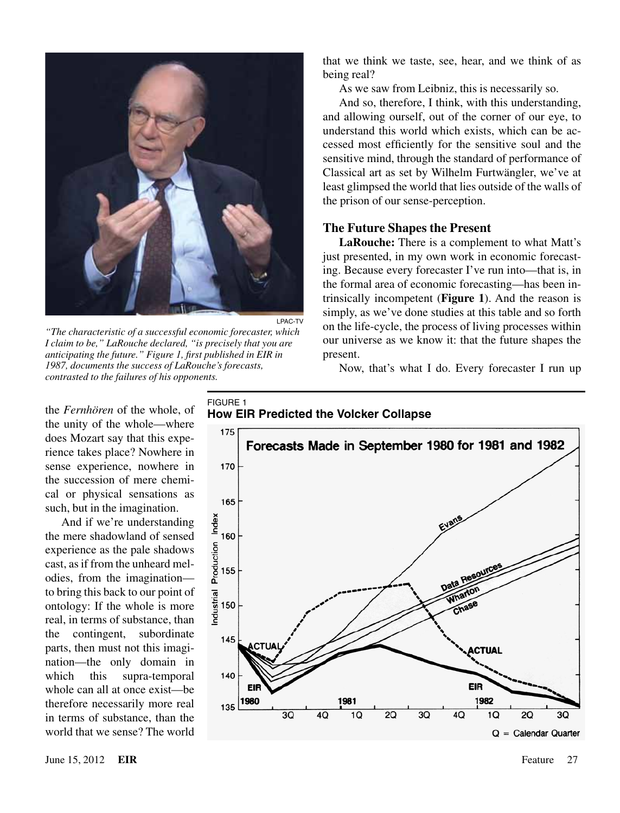

*"The characteristic of a successful economic forecaster, which I claim to be," LaRouche declared, "is precisely that you are anticipating the future." Figure 1, first published in EIR in 1987, documents the success of LaRouche's forecasts, contrasted to the failures of his opponents.*

that we think we taste, see, hear, and we think of as being real?

As we saw from Leibniz, this is necessarily so.

And so, therefore, I think, with this understanding, and allowing ourself, out of the corner of our eye, to understand this world which exists, which can be accessed most efficiently for the sensitive soul and the sensitive mind, through the standard of performance of Classical art as set by Wilhelm Furtwängler, we've at least glimpsed the world that lies outside of the walls of the prison of our sense-perception.

#### **The Future Shapes the Present**

**LaRouche:** There is a complement to what Matt's just presented, in my own work in economic forecasting. Because every forecaster I've run into—that is, in the formal area of economic forecasting—has been intrinsically incompetent (**Figure 1**). And the reason is simply, as we've done studies at this table and so forth on the life-cycle, the process of living processes within our universe as we know it: that the future shapes the present.

Now, that's what I do. Every forecaster I run up

the *Fernhören* of the whole, of the unity of the whole—where does Mozart say that this experience takes place? Nowhere in sense experience, nowhere in the succession of mere chemical or physical sensations as such, but in the imagination.

And if we're understanding the mere shadowland of sensed experience as the pale shadows cast, as if from the unheard melodies, from the imagination to bring this back to our point of ontology: If the whole is more real, in terms of substance, than the contingent, subordinate parts, then must not this imagination—the only domain in which this supra-temporal whole can all at once exist—be therefore necessarily more real in terms of substance, than the world that we sense? The world FIGURE 1 **How EIR Predicted the Volcker Collapse**

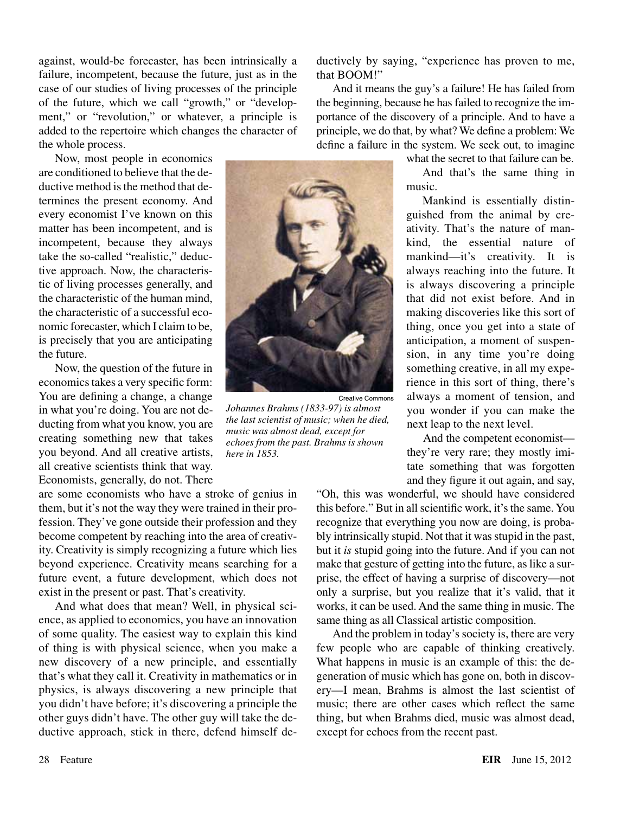against, would-be forecaster, has been intrinsically a failure, incompetent, because the future, just as in the case of our studies of living processes of the principle of the future, which we call "growth," or "development," or "revolution," or whatever, a principle is added to the repertoire which changes the character of the whole process.

Now, most people in economics are conditioned to believe that the deductive method is the method that determines the present economy. And every economist I've known on this matter has been incompetent, and is incompetent, because they always take the so-called "realistic," deductive approach. Now, the characteristic of living processes generally, and the characteristic of the human mind, the characteristic of a successful economic forecaster, which I claim to be, is precisely that you are anticipating the future.

Now, the question of the future in economics takes a very specific form: You are defining a change, a change in what you're doing. You are not deducting from what you know, you are creating something new that takes you beyond. And all creative artists, all creative scientists think that way. Economists, generally, do not. There

are some economists who have a stroke of genius in them, but it's not the way they were trained in their profession. They've gone outside their profession and they become competent by reaching into the area of creativity. Creativity is simply recognizing a future which lies beyond experience. Creativity means searching for a future event, a future development, which does not exist in the present or past. That's creativity.

And what does that mean? Well, in physical science, as applied to economics, you have an innovation of some quality. The easiest way to explain this kind of thing is with physical science, when you make a new discovery of a new principle, and essentially that's what they call it. Creativity in mathematics or in physics, is always discovering a new principle that you didn't have before; it's discovering a principle the other guys didn't have. The other guy will take the deductive approach, stick in there, defend himself deductively by saying, "experience has proven to me, that BOOM!"

And it means the guy's a failure! He has failed from the beginning, because he has failed to recognize the importance of the discovery of a principle. And to have a principle, we do that, by what? We define a problem: We define a failure in the system. We seek out, to imagine

Creative Commons

*Johannes Brahms (1833-97) is almost the last scientist of music; when he died, music was almost dead, except for echoes from the past. Brahms is shown here in 1853.*

what the secret to that failure can be.

And that's the same thing in music.

Mankind is essentially distinguished from the animal by creativity. That's the nature of mankind, the essential nature of mankind—it's creativity. It is always reaching into the future. It is always discovering a principle that did not exist before. And in making discoveries like this sort of thing, once you get into a state of anticipation, a moment of suspension, in any time you're doing something creative, in all my experience in this sort of thing, there's always a moment of tension, and you wonder if you can make the next leap to the next level.

And the competent economist they're very rare; they mostly imitate something that was forgotten and they figure it out again, and say,

"Oh, this was wonderful, we should have considered this before." But in all scientific work, it's the same. You recognize that everything you now are doing, is probably intrinsically stupid. Not that it was stupid in the past, but it *is* stupid going into the future. And if you can not make that gesture of getting into the future, as like a surprise, the effect of having a surprise of discovery—not only a surprise, but you realize that it's valid, that it works, it can be used. And the same thing in music. The same thing as all Classical artistic composition.

And the problem in today's society is, there are very few people who are capable of thinking creatively. What happens in music is an example of this: the degeneration of music which has gone on, both in discovery—I mean, Brahms is almost the last scientist of music; there are other cases which reflect the same thing, but when Brahms died, music was almost dead, except for echoes from the recent past.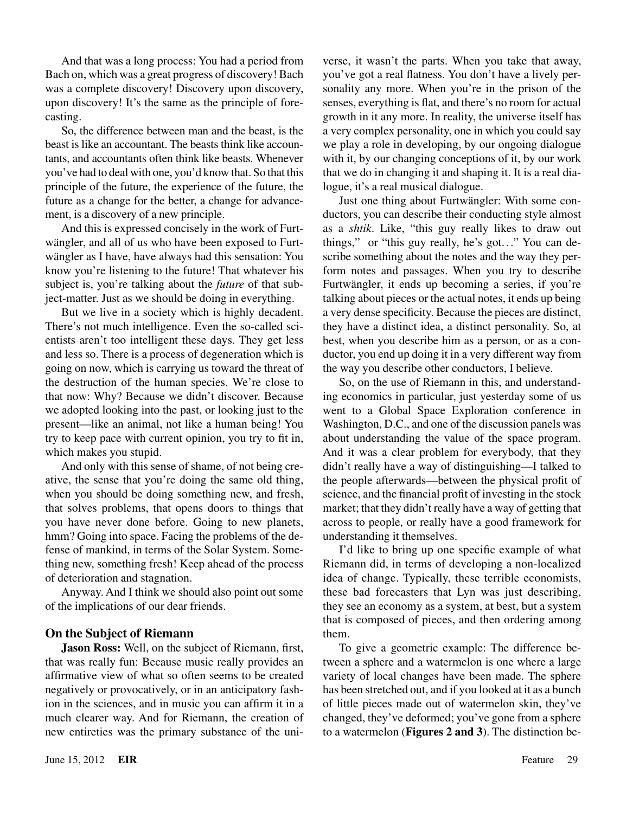And that was a long process: You had a period from Bach on, which was a great progress of discovery! Bach was a complete discovery! Discovery upon discovery, upon discovery! It's the same as the principle of forecasting.

So, the difference between man and the beast, is the beast is like an accountant. The beasts think like accountants, and accountants often think like beasts. Whenever you've had to deal with one, you'd know that. So that this principle of the future, the experience of the future, the future as a change for the better, a change for advancement, is a discovery of a new principle.

And this is expressed concisely in the work of Furtwängler, and all of us who have been exposed to Furtwängler as I have, have always had this sensation: You know you're listening to the future! That whatever his subject is, you're talking about the *future* of that subject-matter. Just as we should be doing in everything.

But we live in a society which is highly decadent. There's not much intelligence. Even the so-called scientists aren't too intelligent these days. They get less and less so. There is a process of degeneration which is going on now, which is carrying us toward the threat of the destruction of the human species. We're close to that now: Why? Because we didn't discover. Because we adopted looking into the past, or looking just to the present—like an animal, not like a human being! You try to keep pace with current opinion, you try to fit in, which makes you stupid.

And only with this sense of shame, of not being creative, the sense that you're doing the same old thing, when you should be doing something new, and fresh, that solves problems, that opens doors to things that you have never done before. Going to new planets, hmm? Going into space. Facing the problems of the defense of mankind, in terms of the Solar System. Something new, something fresh! Keep ahead of the process of deterioration and stagnation.

Anyway. And I think we should also point out some of the implications of our dear friends.

## **On the Subject of Riemann**

**Jason Ross:** Well, on the subject of Riemann, first, that was really fun: Because music really provides an affirmative view of what so often seems to be created negatively or provocatively, or in an anticipatory fashion in the sciences, and in music you can affirm it in a much clearer way. And for Riemann, the creation of new entireties was the primary substance of the universe, it wasn't the parts. When you take that away, you've got a real flatness. You don't have a lively personality any more. When you're in the prison of the senses, everything is flat, and there's no room for actual growth in it any more. In reality, the universe itself has a very complex personality, one in which you could say we play a role in developing, by our ongoing dialogue with it, by our changing conceptions of it, by our work that we do in changing it and shaping it. It is a real dialogue, it's a real musical dialogue.

Just one thing about Furtwängler: With some conductors, you can describe their conducting style almost as a *shtik*. Like, "this guy really likes to draw out things," or "this guy really, he's got. .." You can describe something about the notes and the way they perform notes and passages. When you try to describe Furtwängler, it ends up becoming a series, if you're talking about pieces or the actual notes, it ends up being a very dense specificity. Because the pieces are distinct, they have a distinct idea, a distinct personality. So, at best, when you describe him as a person, or as a conductor, you end up doing it in a very different way from the way you describe other conductors, I believe.

So, on the use of Riemann in this, and understanding economics in particular, just yesterday some of us went to a Global Space Exploration conference in Washington, D.C., and one of the discussion panels was about understanding the value of the space program. And it was a clear problem for everybody, that they didn't really have a way of distinguishing—I talked to the people afterwards—between the physical profit of science, and the financial profit of investing in the stock market; that they didn't really have a way of getting that across to people, or really have a good framework for understanding it themselves.

I'd like to bring up one specific example of what Riemann did, in terms of developing a non-localized idea of change. Typically, these terrible economists, these bad forecasters that Lyn was just describing, they see an economy as a system, at best, but a system that is composed of pieces, and then ordering among them.

To give a geometric example: The difference between a sphere and a watermelon is one where a large variety of local changes have been made. The sphere has been stretched out, and if you looked at it as a bunch of little pieces made out of watermelon skin, they've changed, they've deformed; you've gone from a sphere to a watermelon (**Figures 2 and 3**). The distinction be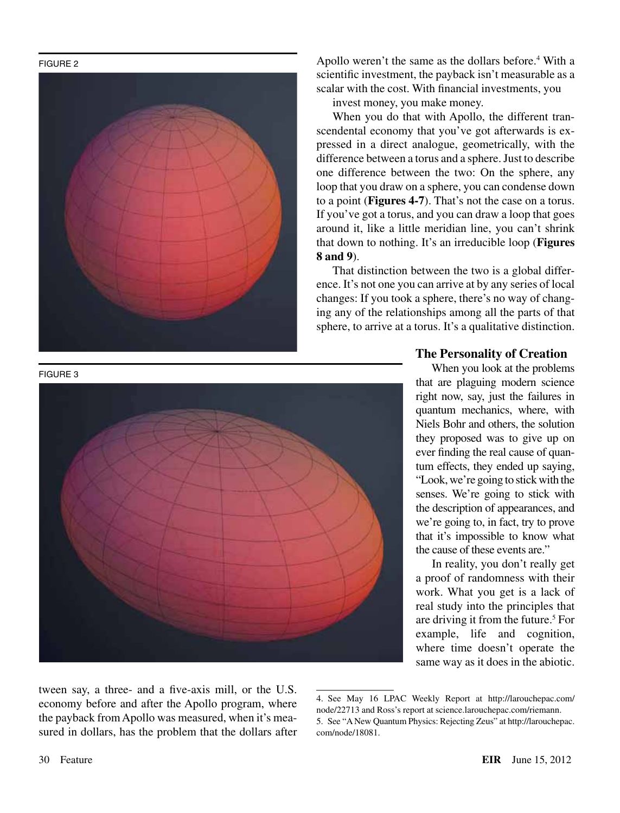FIGURE 2





Apollo weren't the same as the dollars before.<sup>4</sup> With a scientific investment, the payback isn't measurable as a scalar with the cost. With financial investments, you

invest money, you make money.

When you do that with Apollo, the different transcendental economy that you've got afterwards is expressed in a direct analogue, geometrically, with the difference between a torus and a sphere. Just to describe one difference between the two: On the sphere, any loop that you draw on a sphere, you can condense down to a point (**Figures 4-7**). That's not the case on a torus. If you've got a torus, and you can draw a loop that goes around it, like a little meridian line, you can't shrink that down to nothing. It's an irreducible loop (**Figures 8 and 9**).

That distinction between the two is a global difference. It's not one you can arrive at by any series of local changes: If you took a sphere, there's no way of changing any of the relationships among all the parts of that sphere, to arrive at a torus. It's a qualitative distinction.

#### **The Personality of Creation**

When you look at the problems that are plaguing modern science right now, say, just the failures in quantum mechanics, where, with Niels Bohr and others, the solution they proposed was to give up on ever finding the real cause of quantum effects, they ended up saying, "Look, we're going to stick with the senses. We're going to stick with the description of appearances, and we're going to, in fact, try to prove that it's impossible to know what the cause of these events are."

In reality, you don't really get a proof of randomness with their work. What you get is a lack of real study into the principles that are driving it from the future.<sup>5</sup> For example, life and cognition, where time doesn't operate the same way as it does in the abiotic.

tween say, a three- and a five-axis mill, or the U.S. economy before and after the Apollo program, where the payback from Apollo was measured, when it's measured in dollars, has the problem that the dollars after

<sup>4.</sup> See May 16 LPAC Weekly Report at http://larouchepac.com/ node/22713 and Ross's report at science.larouchepac.com/riemann. 5. See "A New Quantum Physics: Rejecting Zeus" at http://larouchepac. com/node/18081.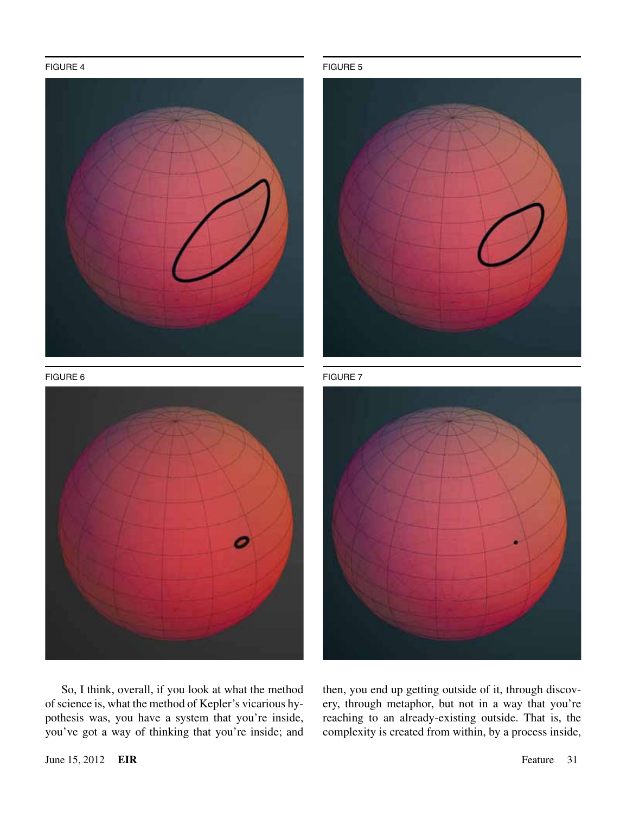#### FIGURE 4 FIGURE 5



FIGURE 6 FIGURE 7







So, I think, overall, if you look at what the method of science is, what the method of Kepler's vicarious hypothesis was, you have a system that you're inside, you've got a way of thinking that you're inside; and

then, you end up getting outside of it, through discovery, through metaphor, but not in a way that you're reaching to an already-existing outside. That is, the complexity is created from within, by a process inside,

June 15, 2012 **EIR** Feature 31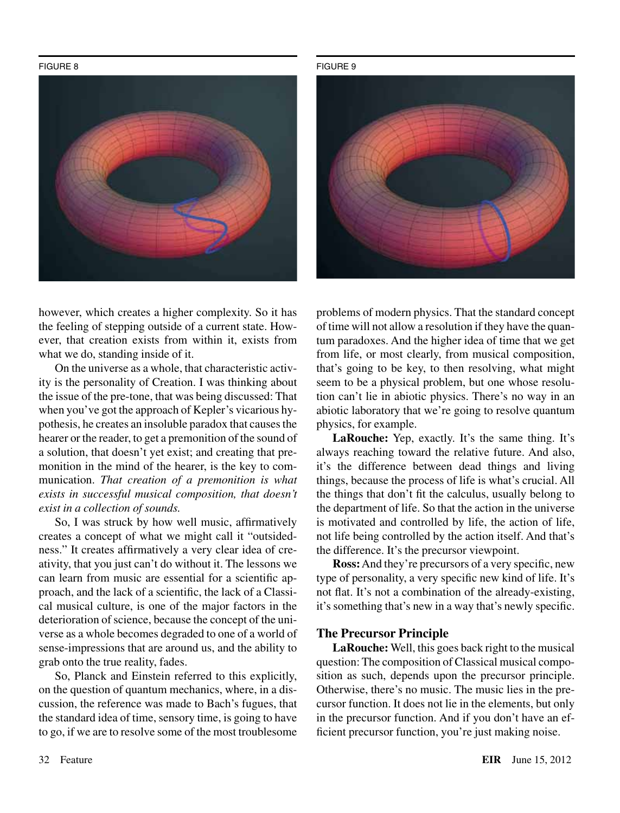FIGURE 8 FIGURE 9



however, which creates a higher complexity. So it has the feeling of stepping outside of a current state. However, that creation exists from within it, exists from what we do, standing inside of it.

On the universe as a whole, that characteristic activity is the personality of Creation. I was thinking about the issue of the pre-tone, that was being discussed: That when you've got the approach of Kepler's vicarious hypothesis, he creates an insoluble paradox that causes the hearer or the reader, to get a premonition of the sound of a solution, that doesn't yet exist; and creating that premonition in the mind of the hearer, is the key to communication. *That creation of a premonition is what exists in successful musical composition, that doesn't exist in a collection of sounds.*

So, I was struck by how well music, affirmatively creates a concept of what we might call it "outsidedness." It creates affirmatively a very clear idea of creativity, that you just can't do without it. The lessons we can learn from music are essential for a scientific approach, and the lack of a scientific, the lack of a Classical musical culture, is one of the major factors in the deterioration of science, because the concept of the universe as a whole becomes degraded to one of a world of sense-impressions that are around us, and the ability to grab onto the true reality, fades.

So, Planck and Einstein referred to this explicitly, on the question of quantum mechanics, where, in a discussion, the reference was made to Bach's fugues, that the standard idea of time, sensory time, is going to have to go, if we are to resolve some of the most troublesome



problems of modern physics. That the standard concept of time will not allow a resolution if they have the quantum paradoxes. And the higher idea of time that we get from life, or most clearly, from musical composition, that's going to be key, to then resolving, what might seem to be a physical problem, but one whose resolution can't lie in abiotic physics. There's no way in an abiotic laboratory that we're going to resolve quantum physics, for example.

**LaRouche:** Yep, exactly. It's the same thing. It's always reaching toward the relative future. And also, it's the difference between dead things and living things, because the process of life is what's crucial. All the things that don't fit the calculus, usually belong to the department of life. So that the action in the universe is motivated and controlled by life, the action of life, not life being controlled by the action itself. And that's the difference. It's the precursor viewpoint.

**Ross:** And they're precursors of a very specific, new type of personality, a very specific new kind of life. It's not flat. It's not a combination of the already-existing, it's something that's new in a way that's newly specific.

## **The Precursor Principle**

**LaRouche:** Well, this goes back right to the musical question: The composition of Classical musical composition as such, depends upon the precursor principle. Otherwise, there's no music. The music lies in the precursor function. It does not lie in the elements, but only in the precursor function. And if you don't have an efficient precursor function, you're just making noise.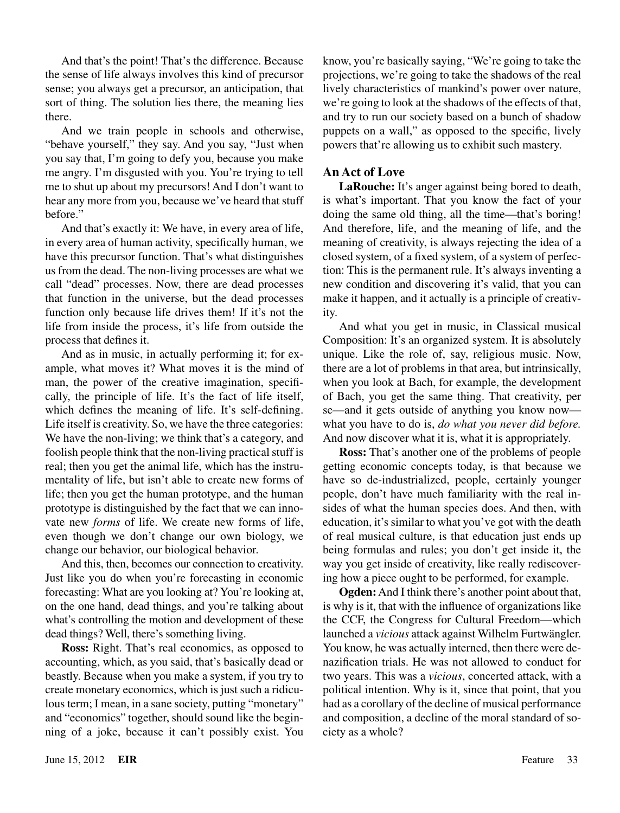And that's the point! That's the difference. Because the sense of life always involves this kind of precursor sense; you always get a precursor, an anticipation, that sort of thing. The solution lies there, the meaning lies there.

And we train people in schools and otherwise, "behave yourself," they say. And you say, "Just when you say that, I'm going to defy you, because you make me angry. I'm disgusted with you. You're trying to tell me to shut up about my precursors! And I don't want to hear any more from you, because we've heard that stuff before."

And that's exactly it: We have, in every area of life, in every area of human activity, specifically human, we have this precursor function. That's what distinguishes us from the dead. The non-living processes are what we call "dead" processes. Now, there are dead processes that function in the universe, but the dead processes function only because life drives them! If it's not the life from inside the process, it's life from outside the process that defines it.

And as in music, in actually performing it; for example, what moves it? What moves it is the mind of man, the power of the creative imagination, specifically, the principle of life. It's the fact of life itself, which defines the meaning of life. It's self-defining. Life itself is creativity. So, we have the three categories: We have the non-living; we think that's a category, and foolish people think that the non-living practical stuff is real; then you get the animal life, which has the instrumentality of life, but isn't able to create new forms of life; then you get the human prototype, and the human prototype is distinguished by the fact that we can innovate new *forms* of life. We create new forms of life, even though we don't change our own biology, we change our behavior, our biological behavior.

And this, then, becomes our connection to creativity. Just like you do when you're forecasting in economic forecasting: What are you looking at? You're looking at, on the one hand, dead things, and you're talking about what's controlling the motion and development of these dead things? Well, there's something living.

**Ross:** Right. That's real economics, as opposed to accounting, which, as you said, that's basically dead or beastly. Because when you make a system, if you try to create monetary economics, which is just such a ridiculous term; I mean, in a sane society, putting "monetary" and "economics" together, should sound like the beginning of a joke, because it can't possibly exist. You

know, you're basically saying, "We're going to take the projections, we're going to take the shadows of the real lively characteristics of mankind's power over nature, we're going to look at the shadows of the effects of that, and try to run our society based on a bunch of shadow puppets on a wall," as opposed to the specific, lively powers that're allowing us to exhibit such mastery.

## **An Act of Love**

**LaRouche:** It's anger against being bored to death, is what's important. That you know the fact of your doing the same old thing, all the time—that's boring! And therefore, life, and the meaning of life, and the meaning of creativity, is always rejecting the idea of a closed system, of a fixed system, of a system of perfection: This is the permanent rule. It's always inventing a new condition and discovering it's valid, that you can make it happen, and it actually is a principle of creativity.

And what you get in music, in Classical musical Composition: It's an organized system. It is absolutely unique. Like the role of, say, religious music. Now, there are a lot of problems in that area, but intrinsically, when you look at Bach, for example, the development of Bach, you get the same thing. That creativity, per se—and it gets outside of anything you know now what you have to do is, *do what you never did before.* And now discover what it is, what it is appropriately.

**Ross:** That's another one of the problems of people getting economic concepts today, is that because we have so de-industrialized, people, certainly younger people, don't have much familiarity with the real insides of what the human species does. And then, with education, it's similar to what you've got with the death of real musical culture, is that education just ends up being formulas and rules; you don't get inside it, the way you get inside of creativity, like really rediscovering how a piece ought to be performed, for example.

**Ogden:** And I think there's another point about that, is why is it, that with the influence of organizations like the CCF, the Congress for Cultural Freedom—which launched a *vicious* attack against Wilhelm Furtwängler. You know, he was actually interned, then there were denazification trials. He was not allowed to conduct for two years. This was a *vicious*, concerted attack, with a political intention. Why is it, since that point, that you had as a corollary of the decline of musical performance and composition, a decline of the moral standard of society as a whole?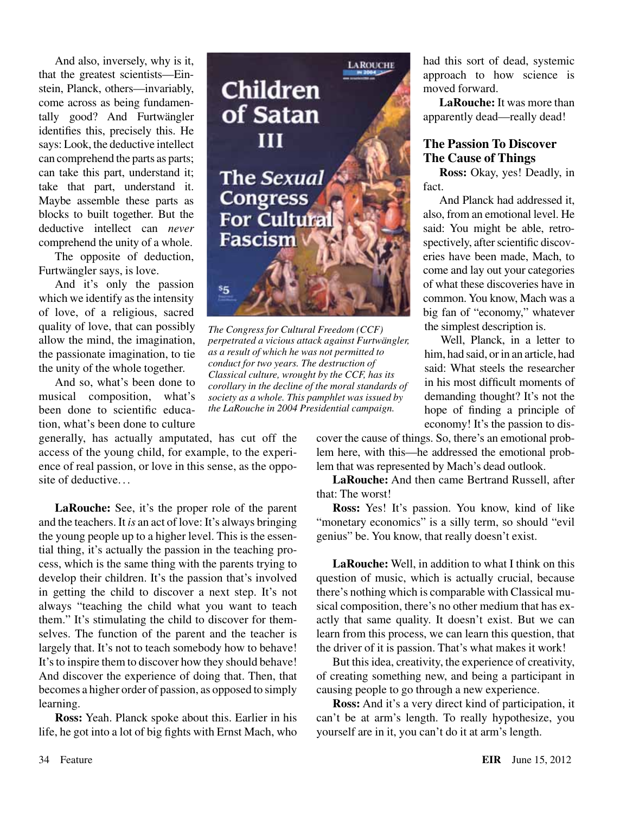And also, inversely, why is it, that the greatest scientists—Einstein, Planck, others—invariably, come across as being fundamentally good? And Furtwängler identifies this, precisely this. He says: Look, the deductive intellect can comprehend the parts as parts; can take this part, understand it; take that part, understand it. Maybe assemble these parts as blocks to built together. But the deductive intellect can *never* comprehend the unity of a whole.

The opposite of deduction, Furtwängler says, is love.

And it's only the passion which we identify as the intensity of love, of a religious, sacred quality of love, that can possibly allow the mind, the imagination, the passionate imagination, to tie the unity of the whole together.

And so, what's been done to musical composition, what's been done to scientific education, what's been done to culture

generally, has actually amputated, has cut off the access of the young child, for example, to the experience of real passion, or love in this sense, as the opposite of deductive. . .

**LaRouche:** See, it's the proper role of the parent and the teachers. It *is* an act of love: It's always bringing the young people up to a higher level. This is the essential thing, it's actually the passion in the teaching process, which is the same thing with the parents trying to develop their children. It's the passion that's involved in getting the child to discover a next step. It's not always "teaching the child what you want to teach them." It's stimulating the child to discover for themselves. The function of the parent and the teacher is largely that. It's not to teach somebody how to behave! It's to inspire them to discover how they should behave! And discover the experience of doing that. Then, that becomes a higher order of passion, as opposed to simply learning.

**Ross:** Yeah. Planck spoke about this. Earlier in his life, he got into a lot of big fights with Ernst Mach, who



*The Congress for Cultural Freedom (CCF) perpetrated a vicious attack against Furtwängler, as a result of which he was not permitted to conduct for two years. The destruction of Classical culture, wrought by the CCF, has its corollary in the decline of the moral standards of society as a whole. This pamphlet was issued by the LaRouche in 2004 Presidential campaign.*

had this sort of dead, systemic approach to how science is moved forward.

**LaRouche:** It was more than apparently dead—really dead!

## **The Passion To Discover The Cause of Things**

**Ross:** Okay, yes! Deadly, in fact.

And Planck had addressed it, also, from an emotional level. He said: You might be able, retrospectively, after scientific discoveries have been made, Mach, to come and lay out your categories of what these discoveries have in common. You know, Mach was a big fan of "economy," whatever the simplest description is.

Well, Planck, in a letter to him, had said, or in an article, had said: What steels the researcher in his most difficult moments of demanding thought? It's not the hope of finding a principle of economy! It's the passion to dis-

cover the cause of things. So, there's an emotional problem here, with this—he addressed the emotional problem that was represented by Mach's dead outlook.

**LaRouche:** And then came Bertrand Russell, after that: The worst!

**Ross:** Yes! It's passion. You know, kind of like "monetary economics" is a silly term, so should "evil" genius" be. You know, that really doesn't exist.

**LaRouche:** Well, in addition to what I think on this question of music, which is actually crucial, because there's nothing which is comparable with Classical musical composition, there's no other medium that has exactly that same quality. It doesn't exist. But we can learn from this process, we can learn this question, that the driver of it is passion. That's what makes it work!

But this idea, creativity, the experience of creativity, of creating something new, and being a participant in causing people to go through a new experience.

**Ross:** And it's a very direct kind of participation, it can't be at arm's length. To really hypothesize, you yourself are in it, you can't do it at arm's length.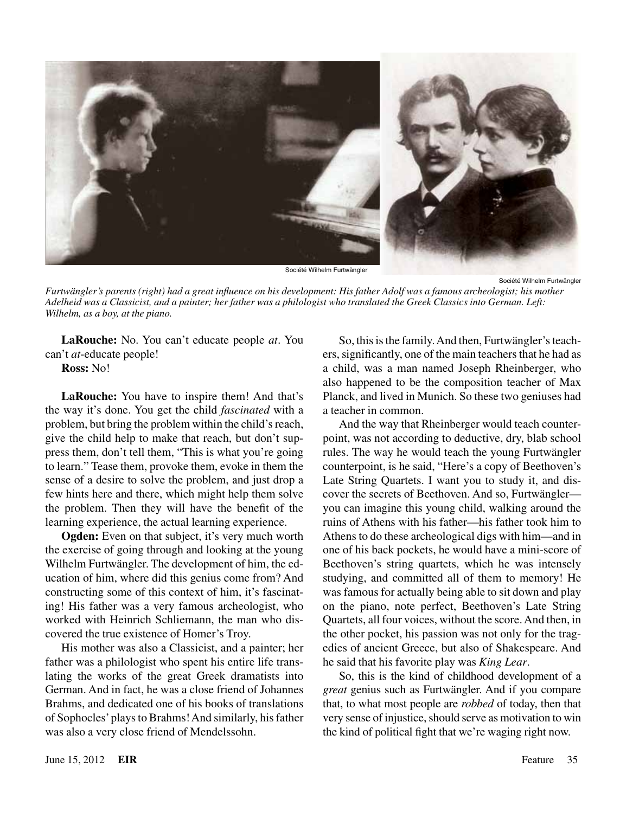

Société Wilhelm Furtwängler

Société Wilhelm Furtwängler

*Furtwängler's parents (right) had a great influence on his development: His father Adolf was a famous archeologist; his mother Adelheid was a Classicist, and a painter; her father was a philologist who translated the Greek Classics into German. Left: Wilhelm, as a boy, at the piano.*

**LaRouche:** No. You can't educate people *at*. You can't *at*-educate people!

**Ross:** No!

**LaRouche:** You have to inspire them! And that's the way it's done. You get the child *fascinated* with a problem, but bring the problem within the child's reach, give the child help to make that reach, but don't suppress them, don't tell them, "This is what you're going to learn." Tease them, provoke them, evoke in them the sense of a desire to solve the problem, and just drop a few hints here and there, which might help them solve the problem. Then they will have the benefit of the learning experience, the actual learning experience.

**Ogden:** Even on that subject, it's very much worth the exercise of going through and looking at the young Wilhelm Furtwängler. The development of him, the education of him, where did this genius come from? And constructing some of this context of him, it's fascinating! His father was a very famous archeologist, who worked with Heinrich Schliemann, the man who discovered the true existence of Homer's Troy.

His mother was also a Classicist, and a painter; her father was a philologist who spent his entire life translating the works of the great Greek dramatists into German. And in fact, he was a close friend of Johannes Brahms, and dedicated one of his books of translations of Sophocles' plays to Brahms! And similarly, his father was also a very close friend of Mendelssohn.

So, this is the family. And then, Furtwängler's teachers, significantly, one of the main teachers that he had as a child, was a man named Joseph Rheinberger, who also happened to be the composition teacher of Max Planck, and lived in Munich. So these two geniuses had a teacher in common.

And the way that Rheinberger would teach counterpoint, was not according to deductive, dry, blab school rules. The way he would teach the young Furtwängler counterpoint, is he said, "Here's a copy of Beethoven's Late String Quartets. I want you to study it, and discover the secrets of Beethoven. And so, Furtwängler you can imagine this young child, walking around the ruins of Athens with his father—his father took him to Athens to do these archeological digs with him—and in one of his back pockets, he would have a mini-score of Beethoven's string quartets, which he was intensely studying, and committed all of them to memory! He was famous for actually being able to sit down and play on the piano, note perfect, Beethoven's Late String Quartets, all four voices, without the score. And then, in the other pocket, his passion was not only for the tragedies of ancient Greece, but also of Shakespeare. And he said that his favorite play was *King Lear*.

So, this is the kind of childhood development of a *great* genius such as Furtwängler. And if you compare that, to what most people are *robbed* of today, then that very sense of injustice, should serve as motivation to win the kind of political fight that we're waging right now.